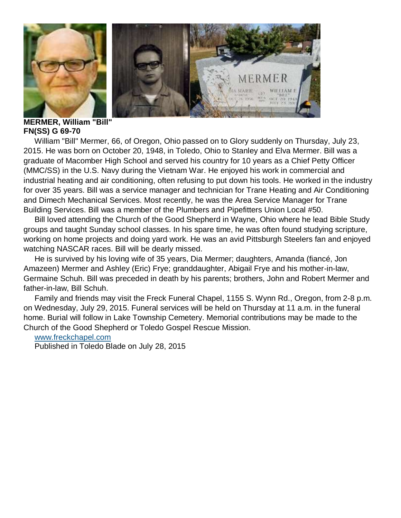

**MERMER, William "Bill" FN(SS) G 69-70**

 William "Bill" Mermer, 66, of Oregon, Ohio passed on to Glory suddenly on Thursday, July 23, 2015. He was born on October 20, 1948, in Toledo, Ohio to Stanley and Elva Mermer. Bill was a graduate of Macomber High School and served his country for 10 years as a Chief Petty Officer (MMC/SS) in the U.S. Navy during the Vietnam War. He enjoyed his work in commercial and industrial heating and air conditioning, often refusing to put down his tools. He worked in the industry for over 35 years. Bill was a service manager and technician for Trane Heating and Air Conditioning and Dimech Mechanical Services. Most recently, he was the Area Service Manager for Trane Building Services. Bill was a member of the Plumbers and Pipefitters Union Local #50.

 Bill loved attending the Church of the Good Shepherd in Wayne, Ohio where he lead Bible Study groups and taught Sunday school classes. In his spare time, he was often found studying scripture, working on home projects and doing yard work. He was an avid Pittsburgh Steelers fan and enjoyed watching NASCAR races. Bill will be dearly missed.

 He is survived by his loving wife of 35 years, Dia Mermer; daughters, Amanda (fiancé, Jon Amazeen) Mermer and Ashley (Eric) Frye; granddaughter, Abigail Frye and his mother-in-law, Germaine Schuh. Bill was preceded in death by his parents; brothers, John and Robert Mermer and father-in-law, Bill Schuh.

 Family and friends may visit the Freck Funeral Chapel, 1155 S. Wynn Rd., Oregon, from 2-8 p.m. on Wednesday, July 29, 2015. Funeral services will be held on Thursday at 11 a.m. in the funeral home. Burial will follow in Lake Township Cemetery. Memorial contributions may be made to the Church of the Good Shepherd or Toledo Gospel Rescue Mission.

## [www.freckchapel.com](http://www.freckchapel.com/)

Published in Toledo Blade on July 28, 2015